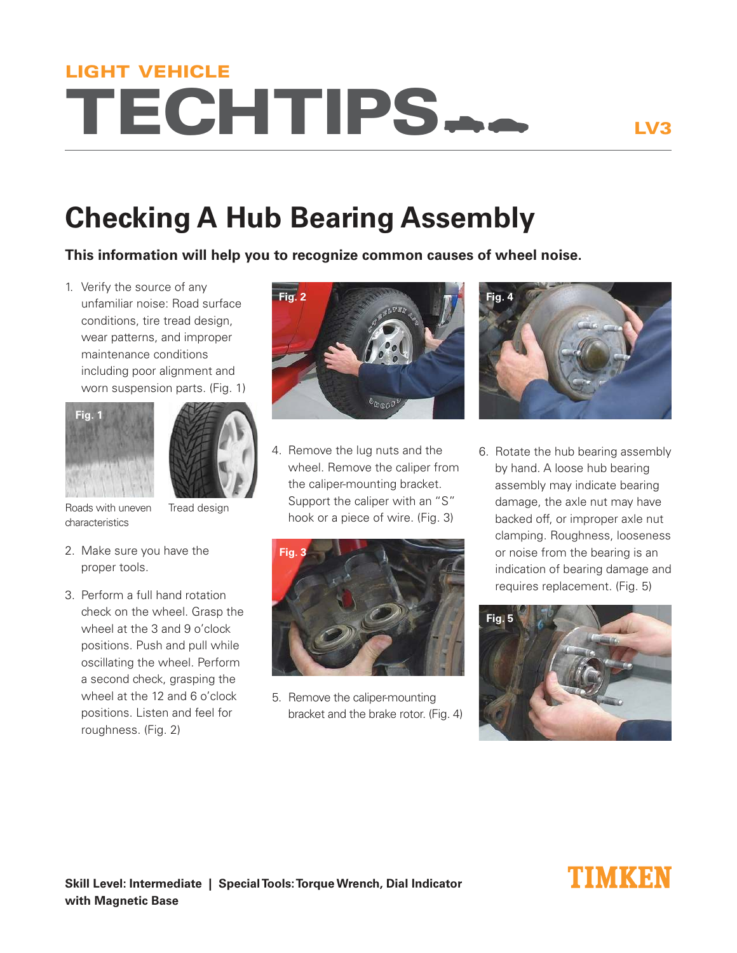# TECHTIPS LIGHT VEHICLE

## **Checking A Hub Bearing Assembly**

**This information will help you to recognize common causes of wheel noise.**

1. Verify the source of any unfamiliar noise: Road surface conditions, tire tread design, wear patterns, and improper maintenance conditions including poor alignment and worn suspension parts. (Fig. 1)





Roads with uneven characteristics

Tread design

- 2. Make sure you have the proper tools.
- 3. Perform a full hand rotation check on the wheel. Grasp the wheel at the 3 and 9 o'clock positions. Push and pull while oscillating the wheel. Perform a second check, grasping the wheel at the 12 and 6 o'clock positions. Listen and feel for roughness. (Fig. 2)



4. Remove the lug nuts and the wheel. Remove the caliper from the caliper-mounting bracket. Support the caliper with an "S" hook or a piece of wire. (Fig. 3)



5. Remove the caliper-mounting bracket and the brake rotor. (Fig. 4)



6. Rotate the hub bearing assembly by hand. A loose hub bearing assembly may indicate bearing damage, the axle nut may have backed off, or improper axle nut clamping. Roughness, looseness or noise from the bearing is an indication of bearing damage and requires replacement. (Fig. 5)



### INIMKEN